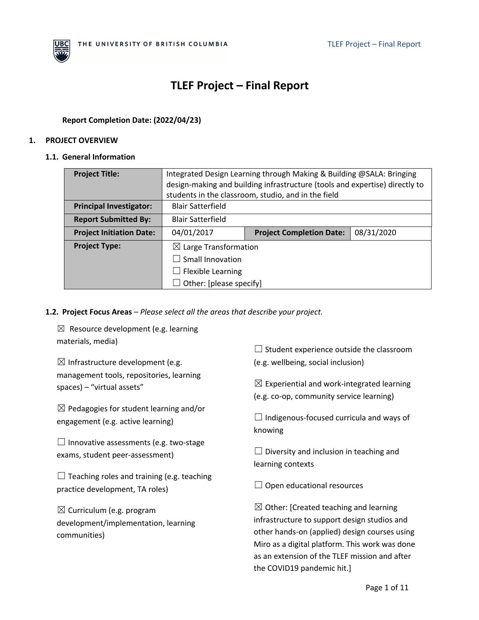

# **TLEF Project – Final Report**

# **Report Completion Date: (2022/04/23)**

#### **1. PROJECT OVERVIEW**

#### **1.1. General Information**

| <b>Project Title:</b>           | Integrated Design Learning through Making & Building @SALA: Bringing<br>design-making and building infrastructure (tools and expertise) directly to |                                 |            |
|---------------------------------|-----------------------------------------------------------------------------------------------------------------------------------------------------|---------------------------------|------------|
|                                 | students in the classroom, studio, and in the field                                                                                                 |                                 |            |
| <b>Principal Investigator:</b>  | <b>Blair Satterfield</b>                                                                                                                            |                                 |            |
| <b>Report Submitted By:</b>     | <b>Blair Satterfield</b>                                                                                                                            |                                 |            |
| <b>Project Initiation Date:</b> | 04/01/2017                                                                                                                                          | <b>Project Completion Date:</b> | 08/31/2020 |
| <b>Project Type:</b>            | $\boxtimes$ Large Transformation                                                                                                                    |                                 |            |
|                                 | $\Box$ Small Innovation                                                                                                                             |                                 |            |
|                                 | $\Box$ Flexible Learning                                                                                                                            |                                 |            |
|                                 | Other: [please specify]                                                                                                                             |                                 |            |

### **1.2. Project Focus Areas** *– Please select all the areas that describe your project.*

 $\boxtimes$  Resource development (e.g. learning materials, media)

 $\boxtimes$  Infrastructure development (e.g. management tools, repositories, learning spaces) – "virtual assets"

 $\boxtimes$  Pedagogies for student learning and/or engagement (e.g. active learning)

 $\Box$  Innovative assessments (e.g. two-stage exams, student peer-assessment)

 $\Box$  Teaching roles and training (e.g. teaching practice development, TA roles)

 $\boxtimes$  Curriculum (e.g. program development/implementation, learning communities)

 $\Box$  Student experience outside the classroom (e.g. wellbeing, social inclusion)

 $\boxtimes$  Experiential and work-integrated learning (e.g. co-op, community service learning)

 $\Box$  Indigenous-focused curricula and ways of knowing

 $\Box$  Diversity and inclusion in teaching and learning contexts

 $\Box$  Open educational resources

 $\boxtimes$  Other: [Created teaching and learning infrastructure to support design studios and other hands-on (applied) design courses using Miro as a digital platform. This work was done as an extension of the TLEF mission and after the COVID19 pandemic hit.]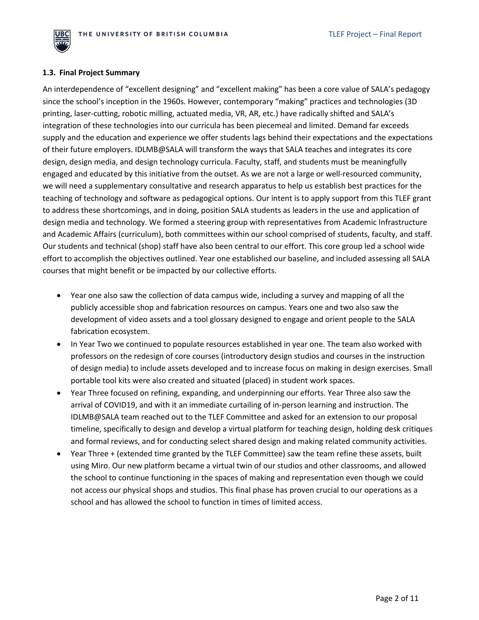

#### **1.3. Final Project Summary**

An interdependence of "excellent designing" and "excellent making" has been a core value of SALA's pedagogy since the school's inception in the 1960s. However, contemporary "making" practices and technologies (3D printing, laser-cutting, robotic milling, actuated media, VR, AR, etc.) have radically shifted and SALA's integration of these technologies into our curricula has been piecemeal and limited. Demand far exceeds supply and the education and experience we offer students lags behind their expectations and the expectations of their future employers. IDLMB@SALA will transform the ways that SALA teaches and integrates its core design, design media, and design technology curricula. Faculty, staff, and students must be meaningfully engaged and educated by this initiative from the outset. As we are not a large or well-resourced community, we will need a supplementary consultative and research apparatus to help us establish best practices for the teaching of technology and software as pedagogical options. Our intent is to apply support from this TLEF grant to address these shortcomings, and in doing, position SALA students as leaders in the use and application of design media and technology. We formed a steering group with representatives from Academic Infrastructure and Academic Affairs (curriculum), both committees within our school comprised of students, faculty, and staff. Our students and technical (shop) staff have also been central to our effort. This core group led a school wide effort to accomplish the objectives outlined. Year one established our baseline, and included assessing all SALA courses that might benefit or be impacted by our collective efforts.

- Year one also saw the collection of data campus wide, including a survey and mapping of all the publicly accessible shop and fabrication resources on campus. Years one and two also saw the development of video assets and a tool glossary designed to engage and orient people to the SALA fabrication ecosystem.
- In Year Two we continued to populate resources established in year one. The team also worked with professors on the redesign of core courses (introductory design studios and courses in the instruction of design media) to include assets developed and to increase focus on making in design exercises. Small portable tool kits were also created and situated (placed) in student work spaces.
- Year Three focused on refining, expanding, and underpinning our efforts. Year Three also saw the arrival of COVID19, and with it an immediate curtailing of in-person learning and instruction. The IDLMB@SALA team reached out to the TLEF Committee and asked for an extension to our proposal timeline, specifically to design and develop a virtual platform for teaching design, holding desk critiques and formal reviews, and for conducting select shared design and making related community activities.
- Year Three + (extended time granted by the TLEF Committee) saw the team refine these assets, built using Miro. Our new platform became a virtual twin of our studios and other classrooms, and allowed the school to continue functioning in the spaces of making and representation even though we could not access our physical shops and studios. This final phase has proven crucial to our operations as a school and has allowed the school to function in times of limited access.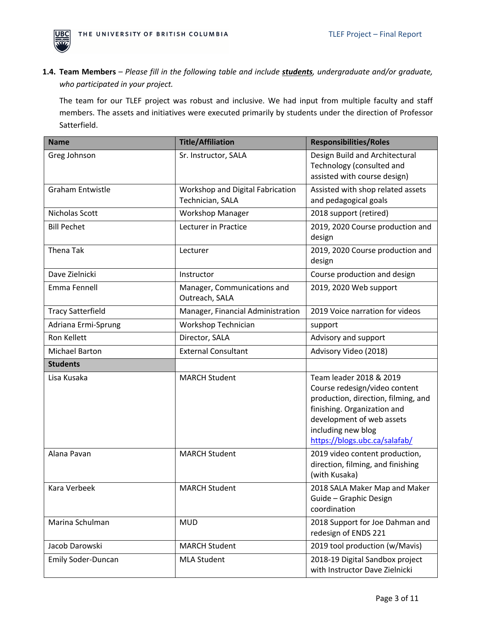

**1.4. Team Members** – *Please fill in the following table and include students, undergraduate and/or graduate, who participated in your project.* 

The team for our TLEF project was robust and inclusive. We had input from multiple faculty and staff members. The assets and initiatives were executed primarily by students under the direction of Professor Satterfield.

| <b>Name</b>               | <b>Title/Affiliation</b>                             | <b>Responsibilities/Roles</b>                                                                                                                                                                                      |
|---------------------------|------------------------------------------------------|--------------------------------------------------------------------------------------------------------------------------------------------------------------------------------------------------------------------|
| Greg Johnson              | Sr. Instructor, SALA                                 | Design Build and Architectural<br>Technology (consulted and<br>assisted with course design)                                                                                                                        |
| <b>Graham Entwistle</b>   | Workshop and Digital Fabrication<br>Technician, SALA | Assisted with shop related assets<br>and pedagogical goals                                                                                                                                                         |
| Nicholas Scott            | <b>Workshop Manager</b>                              | 2018 support (retired)                                                                                                                                                                                             |
| <b>Bill Pechet</b>        | Lecturer in Practice                                 | 2019, 2020 Course production and<br>design                                                                                                                                                                         |
| <b>Thena Tak</b>          | Lecturer                                             | 2019, 2020 Course production and<br>design                                                                                                                                                                         |
| Dave Zielnicki            | Instructor                                           | Course production and design                                                                                                                                                                                       |
| Emma Fennell              | Manager, Communications and<br>Outreach, SALA        | 2019, 2020 Web support                                                                                                                                                                                             |
| <b>Tracy Satterfield</b>  | Manager, Financial Administration                    | 2019 Voice narration for videos                                                                                                                                                                                    |
| Adriana Ermi-Sprung       | Workshop Technician                                  | support                                                                                                                                                                                                            |
| Ron Kellett               | Director, SALA                                       | Advisory and support                                                                                                                                                                                               |
| <b>Michael Barton</b>     | <b>External Consultant</b>                           | Advisory Video (2018)                                                                                                                                                                                              |
| <b>Students</b>           |                                                      |                                                                                                                                                                                                                    |
| Lisa Kusaka               | <b>MARCH Student</b>                                 | Team leader 2018 & 2019<br>Course redesign/video content<br>production, direction, filming, and<br>finishing. Organization and<br>development of web assets<br>including new blog<br>https://blogs.ubc.ca/salafab/ |
| Alana Pavan               | <b>MARCH Student</b>                                 | 2019 video content production,<br>direction, filming, and finishing<br>(with Kusaka)                                                                                                                               |
| Kara Verbeek              | <b>MARCH Student</b>                                 | 2018 SALA Maker Map and Maker<br>Guide - Graphic Design<br>coordination                                                                                                                                            |
| Marina Schulman           | <b>MUD</b>                                           | 2018 Support for Joe Dahman and<br>redesign of ENDS 221                                                                                                                                                            |
| Jacob Darowski            | <b>MARCH Student</b>                                 | 2019 tool production (w/Mavis)                                                                                                                                                                                     |
| <b>Emily Soder-Duncan</b> | <b>MLA Student</b>                                   | 2018-19 Digital Sandbox project<br>with Instructor Dave Zielnicki                                                                                                                                                  |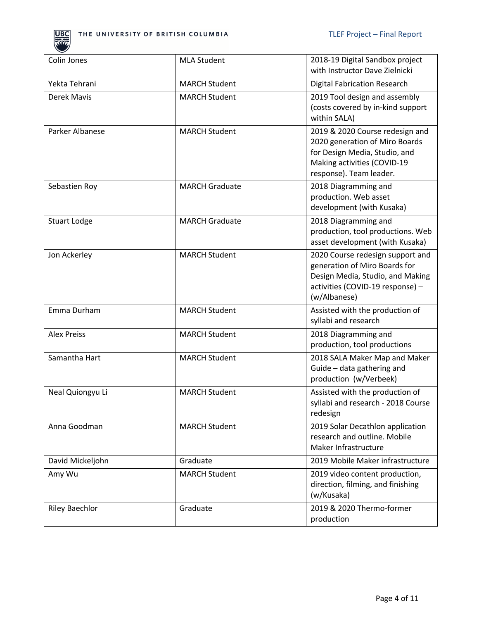

| Colin Jones           | <b>MLA Student</b>    | 2018-19 Digital Sandbox project<br>with Instructor Dave Zielnicki                                                                                            |
|-----------------------|-----------------------|--------------------------------------------------------------------------------------------------------------------------------------------------------------|
| Yekta Tehrani         | <b>MARCH Student</b>  | <b>Digital Fabrication Research</b>                                                                                                                          |
| Derek Mavis           | <b>MARCH Student</b>  | 2019 Tool design and assembly<br>(costs covered by in-kind support<br>within SALA)                                                                           |
| Parker Albanese       | <b>MARCH Student</b>  | 2019 & 2020 Course redesign and<br>2020 generation of Miro Boards<br>for Design Media, Studio, and<br>Making activities (COVID-19<br>response). Team leader. |
| Sebastien Roy         | <b>MARCH Graduate</b> | 2018 Diagramming and<br>production. Web asset<br>development (with Kusaka)                                                                                   |
| <b>Stuart Lodge</b>   | <b>MARCH Graduate</b> | 2018 Diagramming and<br>production, tool productions. Web<br>asset development (with Kusaka)                                                                 |
| Jon Ackerley          | <b>MARCH Student</b>  | 2020 Course redesign support and<br>generation of Miro Boards for<br>Design Media, Studio, and Making<br>activities (COVID-19 response) -<br>(w/Albanese)    |
| Emma Durham           | <b>MARCH Student</b>  | Assisted with the production of<br>syllabi and research                                                                                                      |
| <b>Alex Preiss</b>    | <b>MARCH Student</b>  | 2018 Diagramming and<br>production, tool productions                                                                                                         |
| Samantha Hart         | <b>MARCH Student</b>  | 2018 SALA Maker Map and Maker<br>Guide - data gathering and<br>production (w/Verbeek)                                                                        |
| Neal Quiongyu Li      | <b>MARCH Student</b>  | Assisted with the production of<br>syllabi and research - 2018 Course<br>redesign                                                                            |
| Anna Goodman          | <b>MARCH Student</b>  | 2019 Solar Decathlon application<br>research and outline. Mobile<br>Maker Infrastructure                                                                     |
| David Mickeljohn      | Graduate              | 2019 Mobile Maker infrastructure                                                                                                                             |
| Amy Wu                | <b>MARCH Student</b>  | 2019 video content production,<br>direction, filming, and finishing<br>(w/Kusaka)                                                                            |
| <b>Riley Baechlor</b> | Graduate              | 2019 & 2020 Thermo-former<br>production                                                                                                                      |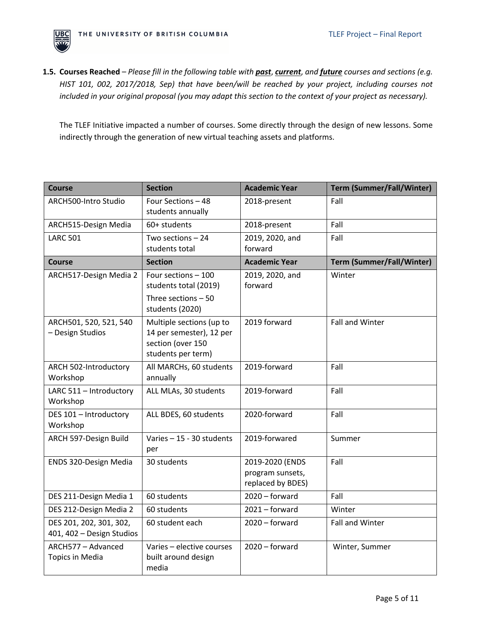

**1.5. Courses Reached** – *Please fill in the following table with past*, *current*, *and future courses and sections (e.g. HIST 101, 002, 2017/2018, Sep) that have been/will be reached by your project, including courses not included in your original proposal (you may adapt this section to the context of your project as necessary).*

The TLEF Initiative impacted a number of courses. Some directly through the design of new lessons. Some indirectly through the generation of new virtual teaching assets and platforms.

| <b>Course</b>                                        | <b>Section</b>                                                                                  | <b>Academic Year</b>                                     | <b>Term (Summer/Fall/Winter)</b> |
|------------------------------------------------------|-------------------------------------------------------------------------------------------------|----------------------------------------------------------|----------------------------------|
| ARCH500-Intro Studio                                 | Four Sections - 48<br>students annually                                                         | 2018-present                                             | Fall                             |
| ARCH515-Design Media                                 | 60+ students                                                                                    | 2018-present                                             | Fall                             |
| <b>LARC 501</b>                                      | Two sections $-24$<br>students total                                                            | 2019, 2020, and<br>forward                               | Fall                             |
| <b>Course</b>                                        | <b>Section</b>                                                                                  | <b>Academic Year</b>                                     | <b>Term (Summer/Fall/Winter)</b> |
| ARCH517-Design Media 2                               | Four sections - 100<br>students total (2019)<br>Three sections $-50$                            | 2019, 2020, and<br>forward                               | Winter                           |
|                                                      | students (2020)                                                                                 |                                                          |                                  |
| ARCH501, 520, 521, 540<br>- Design Studios           | Multiple sections (up to<br>14 per semester), 12 per<br>section (over 150<br>students per term) | 2019 forward                                             | Fall and Winter                  |
| ARCH 502-Introductory<br>Workshop                    | All MARCHs, 60 students<br>annually                                                             | 2019-forward                                             | Fall                             |
| LARC 511 - Introductory<br>Workshop                  | ALL MLAs, 30 students                                                                           | 2019-forward                                             | Fall                             |
| DES 101 - Introductory<br>Workshop                   | ALL BDES, 60 students                                                                           | 2020-forward                                             | Fall                             |
| ARCH 597-Design Build                                | Varies - 15 - 30 students<br>per                                                                | 2019-forwared                                            | Summer                           |
| ENDS 320-Design Media                                | 30 students                                                                                     | 2019-2020 (ENDS<br>program sunsets,<br>replaced by BDES) | Fall                             |
| DES 211-Design Media 1                               | 60 students                                                                                     | $2020 -$ forward                                         | Fall                             |
| DES 212-Design Media 2                               | 60 students                                                                                     | $2021 - forward$                                         | Winter                           |
| DES 201, 202, 301, 302,<br>401, 402 - Design Studios | 60 student each                                                                                 | $2020 -$ forward                                         | Fall and Winter                  |
| ARCH577 - Advanced<br><b>Topics in Media</b>         | Varies - elective courses<br>built around design<br>media                                       | $2020 - forward$                                         | Winter, Summer                   |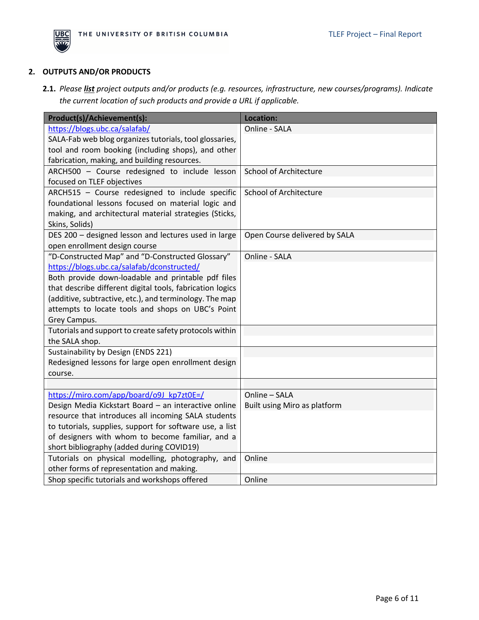

# **2. OUTPUTS AND/OR PRODUCTS**

**2.1.** *Please list project outputs and/or products (e.g. resources, infrastructure, new courses/programs). Indicate the current location of such products and provide a URL if applicable.*

| Product(s)/Achievement(s):                                | Location:                     |
|-----------------------------------------------------------|-------------------------------|
| https://blogs.ubc.ca/salafab/                             | Online - SALA                 |
| SALA-Fab web blog organizes tutorials, tool glossaries,   |                               |
| tool and room booking (including shops), and other        |                               |
| fabrication, making, and building resources.              |                               |
| ARCH500 - Course redesigned to include lesson             | <b>School of Architecture</b> |
| focused on TLEF objectives                                |                               |
| ARCH515 - Course redesigned to include specific           | School of Architecture        |
| foundational lessons focused on material logic and        |                               |
| making, and architectural material strategies (Sticks,    |                               |
| Skins, Solids)                                            |                               |
| DES 200 - designed lesson and lectures used in large      | Open Course delivered by SALA |
| open enrollment design course                             |                               |
| "D-Constructed Map" and "D-Constructed Glossary"          | Online - SALA                 |
| https://blogs.ubc.ca/salafab/dconstructed/                |                               |
| Both provide down-loadable and printable pdf files        |                               |
| that describe different digital tools, fabrication logics |                               |
| (additive, subtractive, etc.), and terminology. The map   |                               |
| attempts to locate tools and shops on UBC's Point         |                               |
| Grey Campus.                                              |                               |
| Tutorials and support to create safety protocols within   |                               |
| the SALA shop.                                            |                               |
| Sustainability by Design (ENDS 221)                       |                               |
| Redesigned lessons for large open enrollment design       |                               |
| course.                                                   |                               |
|                                                           |                               |
| https://miro.com/app/board/o9J kp7zt0E=/                  | Online - SALA                 |
| Design Media Kickstart Board - an interactive online      | Built using Miro as platform  |
| resource that introduces all incoming SALA students       |                               |
| to tutorials, supplies, support for software use, a list  |                               |
| of designers with whom to become familiar, and a          |                               |
| short bibliography (added during COVID19)                 |                               |
| Tutorials on physical modelling, photography, and         | Online                        |
| other forms of representation and making.                 |                               |
| Shop specific tutorials and workshops offered             | Online                        |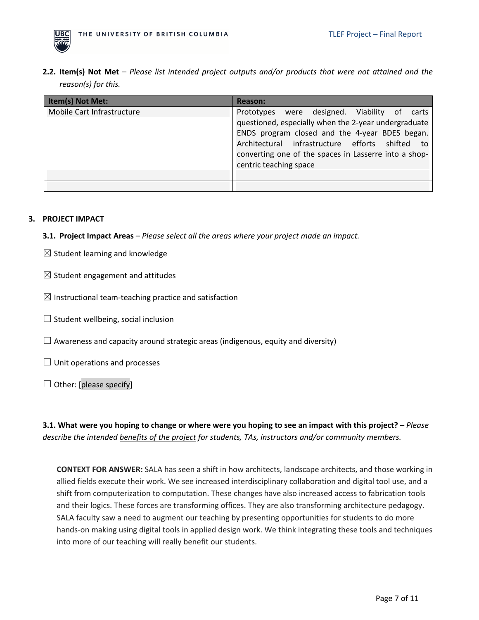

**2.2. Item(s) Not Met** – *Please list intended project outputs and/or products that were not attained and the reason(s) for this.* 

| Item(s) Not Met:           | <b>Reason:</b>                                                                                                                                                                                                                                                                                     |
|----------------------------|----------------------------------------------------------------------------------------------------------------------------------------------------------------------------------------------------------------------------------------------------------------------------------------------------|
| Mobile Cart Infrastructure | designed. Viability of<br>Prototypes were<br>carts<br>questioned, especially when the 2-year undergraduate<br>ENDS program closed and the 4-year BDES began.<br>Architectural infrastructure efforts shifted to<br>converting one of the spaces in Lasserre into a shop-<br>centric teaching space |
|                            |                                                                                                                                                                                                                                                                                                    |

# **3. PROJECT IMPACT**

**3.1. Project Impact Areas** – *Please select all the areas where your project made an impact.*

- $\boxtimes$  Student learning and knowledge
- $\boxtimes$  Student engagement and attitudes
- $\boxtimes$  Instructional team-teaching practice and satisfaction
- $\Box$  Student wellbeing, social inclusion
- $\Box$  Awareness and capacity around strategic areas (indigenous, equity and diversity)
- $\Box$  Unit operations and processes
- $\Box$  Other: [please specify]

**3.1. What were you hoping to change or where were you hoping to see an impact with this project?** – *Please describe the intended benefits of the project for students, TAs, instructors and/or community members.* 

**CONTEXT FOR ANSWER:** SALA has seen a shift in how architects, landscape architects, and those working in allied fields execute their work. We see increased interdisciplinary collaboration and digital tool use, and a shift from computerization to computation. These changes have also increased access to fabrication tools and their logics. These forces are transforming offices. They are also transforming architecture pedagogy. SALA faculty saw a need to augment our teaching by presenting opportunities for students to do more hands-on making using digital tools in applied design work. We think integrating these tools and techniques into more of our teaching will really benefit our students.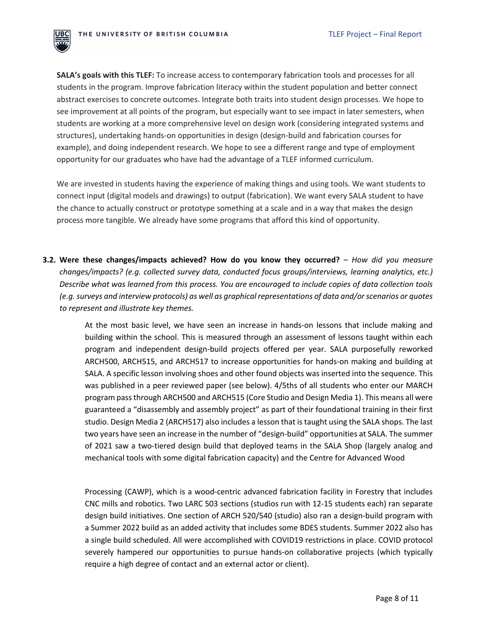

**SALA's goals with this TLEF:** To increase access to contemporary fabrication tools and processes for all students in the program. Improve fabrication literacy within the student population and better connect abstract exercises to concrete outcomes. Integrate both traits into student design processes. We hope to see improvement at all points of the program, but especially want to see impact in later semesters, when students are working at a more comprehensive level on design work (considering integrated systems and structures), undertaking hands-on opportunities in design (design-build and fabrication courses for example), and doing independent research. We hope to see a different range and type of employment opportunity for our graduates who have had the advantage of a TLEF informed curriculum.

We are invested in students having the experience of making things and using tools. We want students to connect input (digital models and drawings) to output (fabrication). We want every SALA student to have the chance to actually construct or prototype something at a scale and in a way that makes the design process more tangible. We already have some programs that afford this kind of opportunity.

**3.2. Were these changes/impacts achieved? How do you know they occurred?** – *How did you measure changes/impacts? (e.g. collected survey data, conducted focus groups/interviews, learning analytics, etc.) Describe what was learned from this process. You are encouraged to include copies of data collection tools (e.g. surveys and interview protocols) as well as graphical representations of data and/orscenarios or quotes to represent and illustrate key themes.*

> At the most basic level, we have seen an increase in hands-on lessons that include making and building within the school. This is measured through an assessment of lessons taught within each program and independent design-build projects offered per year. SALA purposefully reworked ARCH500, ARCH515, and ARCH517 to increase opportunities for hands-on making and building at SALA. A specific lesson involving shoes and other found objects was inserted into the sequence. This was published in a peer reviewed paper (see below). 4/5ths of all students who enter our MARCH program pass through ARCH500 and ARCH515 (Core Studio and Design Media 1). This means all were guaranteed a "disassembly and assembly project" as part of their foundational training in their first studio. Design Media 2 (ARCH517) also includes a lesson that is taught using the SALA shops. The last two years have seen an increase in the number of "design-build" opportunities at SALA. The summer of 2021 saw a two-tiered design build that deployed teams in the SALA Shop (largely analog and mechanical tools with some digital fabrication capacity) and the Centre for Advanced Wood

> Processing (CAWP), which is a wood-centric advanced fabrication facility in Forestry that includes CNC mills and robotics. Two LARC 503 sections (studios run with 12-15 students each) ran separate design build initiatives. One section of ARCH 520/540 (studio) also ran a design-build program with a Summer 2022 build as an added activity that includes some BDES students. Summer 2022 also has a single build scheduled. All were accomplished with COVID19 restrictions in place. COVID protocol severely hampered our opportunities to pursue hands-on collaborative projects (which typically require a high degree of contact and an external actor or client).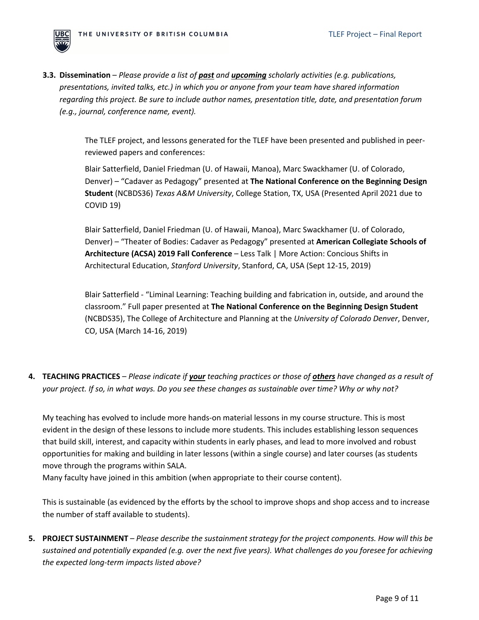

**3.3. Dissemination** – *Please provide a list of past and upcoming scholarly activities (e.g. publications, presentations, invited talks, etc.) in which you or anyone from your team have shared information regarding this project. Be sure to include author names, presentation title, date, and presentation forum (e.g., journal, conference name, event).* 

> The TLEF project, and lessons generated for the TLEF have been presented and published in peerreviewed papers and conferences:

> Blair Satterfield, Daniel Friedman (U. of Hawaii, Manoa), Marc Swackhamer (U. of Colorado, Denver) – "Cadaver as Pedagogy" presented at **The National Conference on the Beginning Design Student** (NCBDS36) *Texas A&M University*, College Station, TX, USA (Presented April 2021 due to COVID 19)

> Blair Satterfield, Daniel Friedman (U. of Hawaii, Manoa), Marc Swackhamer (U. of Colorado, Denver) – "Theater of Bodies: Cadaver as Pedagogy" presented at **American Collegiate Schools of Architecture (ACSA) 2019 Fall Conference** – Less Talk | More Action: Concious Shifts in Architectural Education, *Stanford University*, Stanford, CA, USA (Sept 12-15, 2019)

> Blair Satterfield - "Liminal Learning: Teaching building and fabrication in, outside, and around the classroom." Full paper presented at **The National Conference on the Beginning Design Student**  (NCBDS35), The College of Architecture and Planning at the *University of Colorado Denver*, Denver, CO, USA (March 14-16, 2019)

**4. TEACHING PRACTICES** – *Please indicate if your teaching practices or those of others have changed as a result of your project. If so, in what ways. Do you see these changes as sustainable over time? Why or why not?*

My teaching has evolved to include more hands-on material lessons in my course structure. This is most evident in the design of these lessons to include more students. This includes establishing lesson sequences that build skill, interest, and capacity within students in early phases, and lead to more involved and robust opportunities for making and building in later lessons (within a single course) and later courses (as students move through the programs within SALA.

Many faculty have joined in this ambition (when appropriate to their course content).

This is sustainable (as evidenced by the efforts by the school to improve shops and shop access and to increase the number of staff available to students).

**5. PROJECT SUSTAINMENT** – *Please describe the sustainment strategy for the project components. How will this be sustained and potentially expanded (e.g. over the next five years). What challenges do you foresee for achieving the expected long-term impacts listed above?*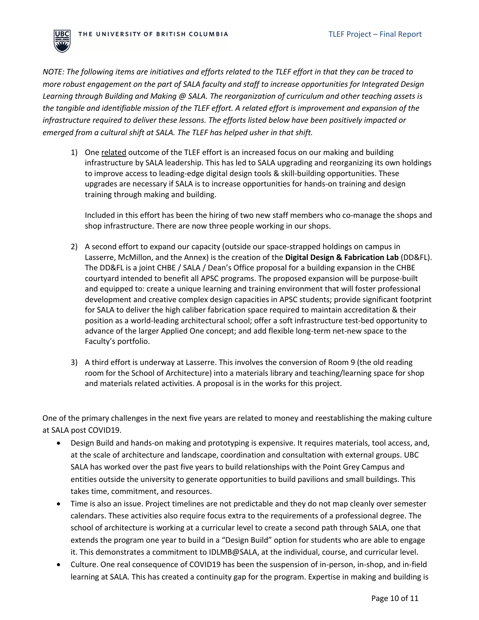

*NOTE: The following items are initiatives and efforts related to the TLEF effort in that they can be traced to more robust engagement on the part of SALA faculty and staff to increase opportunities for Integrated Design Learning through Building and Making @ SALA. The reorganization of curriculum and other teaching assets is the tangible and identifiable mission of the TLEF effort. A related effort is improvement and expansion of the infrastructure required to deliver these lessons. The efforts listed below have been positively impacted or emerged from a cultural shift at SALA. The TLEF has helped usher in that shift.* 

1) One related outcome of the TLEF effort is an increased focus on our making and building infrastructure by SALA leadership. This has led to SALA upgrading and reorganizing its own holdings to improve access to leading-edge digital design tools & skill-building opportunities. These upgrades are necessary if SALA is to increase opportunities for hands-on training and design training through making and building.

Included in this effort has been the hiring of two new staff members who co-manage the shops and shop infrastructure. There are now three people working in our shops.

- 2) A second effort to expand our capacity (outside our space-strapped holdings on campus in Lasserre, McMillon, and the Annex) is the creation of the **Digital Design & Fabrication Lab** (DD&FL). The DD&FL is a joint CHBE / SALA / Dean's Office proposal for a building expansion in the CHBE courtyard intended to benefit all APSC programs. The proposed expansion will be purpose-built and equipped to: create a unique learning and training environment that will foster professional development and creative complex design capacities in APSC students; provide significant footprint for SALA to deliver the high caliber fabrication space required to maintain accreditation & their position as a world-leading architectural school; offer a soft infrastructure test-bed opportunity to advance of the larger Applied One concept; and add flexible long-term net-new space to the Faculty's portfolio.
- 3) A third effort is underway at Lasserre. This involves the conversion of Room 9 (the old reading room for the School of Architecture) into a materials library and teaching/learning space for shop and materials related activities. A proposal is in the works for this project.

One of the primary challenges in the next five years are related to money and reestablishing the making culture at SALA post COVID19.

- Design Build and hands-on making and prototyping is expensive. It requires materials, tool access, and, at the scale of architecture and landscape, coordination and consultation with external groups. UBC SALA has worked over the past five years to build relationships with the Point Grey Campus and entities outside the university to generate opportunities to build pavilions and small buildings. This takes time, commitment, and resources.
- Time is also an issue. Project timelines are not predictable and they do not map cleanly over semester calendars. These activities also require focus extra to the requirements of a professional degree. The school of architecture is working at a curricular level to create a second path through SALA, one that extends the program one year to build in a "Design Build" option for students who are able to engage it. This demonstrates a commitment to IDLMB@SALA, at the individual, course, and curricular level.
- Culture. One real consequence of COVID19 has been the suspension of in-person, in-shop, and in-field learning at SALA. This has created a continuity gap for the program. Expertise in making and building is